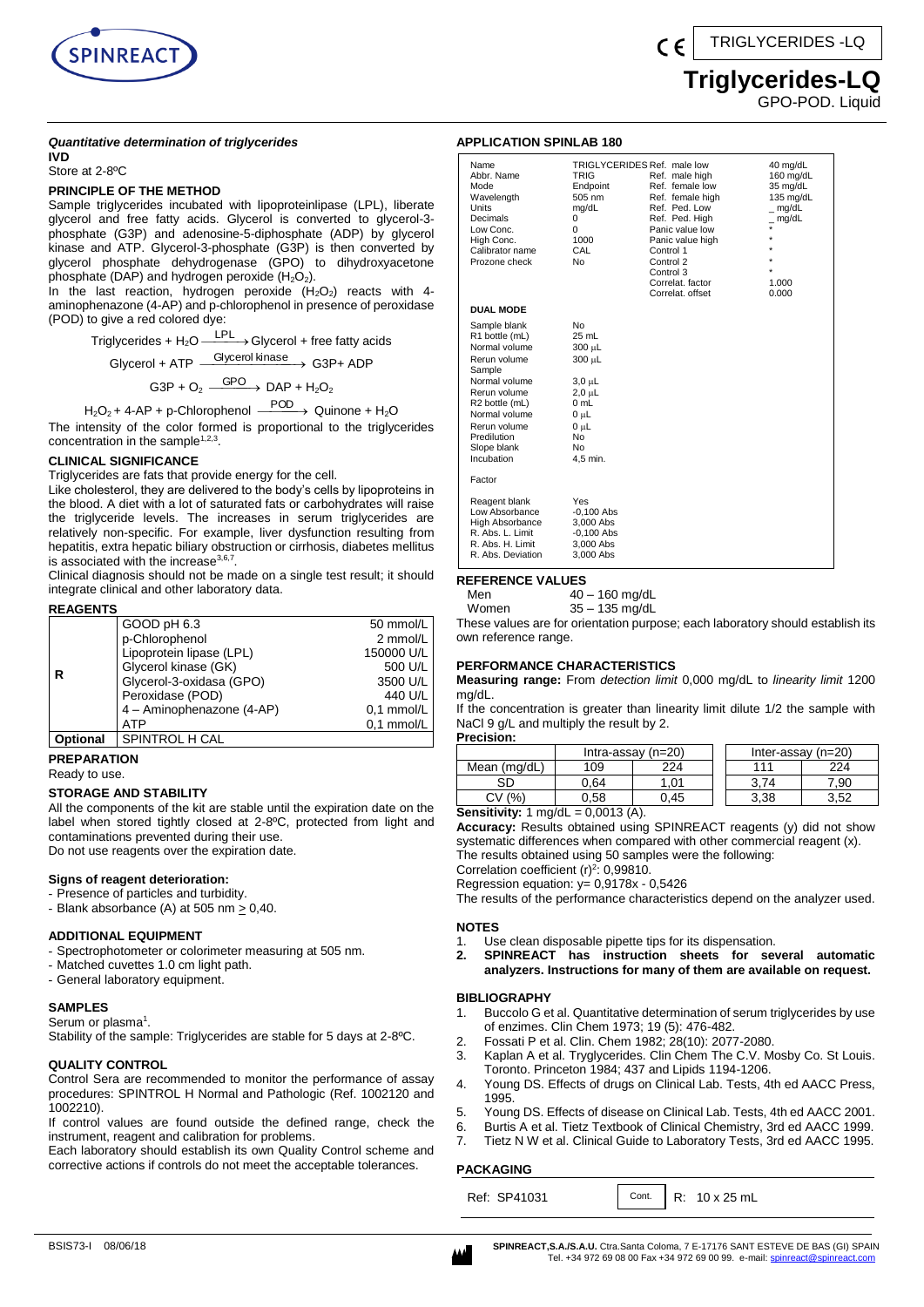

# **Triglycerides-LQ**

GPO-POD. Liquid

#### *Quantitative determination of triglycerides* **IVD**

Store at 2-8ºC

### **PRINCIPLE OF THE METHOD**

Sample triglycerides incubated with lipoproteinlipase (LPL), liberate glycerol and free fatty acids. Glycerol is converted to glycerol-3 phosphate (G3P) and adenosine-5-diphosphate (ADP) by glycerol kinase and ATP. Glycerol-3-phosphate (G3P) is then converted by glycerol phosphate dehydrogenase (GPO) to dihydroxyacetone phosphate (DAP) and hydrogen peroxide  $(H_2O_2)$ .

In the last reaction, hydrogen peroxide  $(H_2O_2)$  reacts with 4aminophenazone (4-AP) and p-chlorophenol in presence of peroxidase (POD) to give a red colored dye:

Triglycerides +  $H_2O \xrightarrow{\text{LPL}}$  Glycerol + free fatty acids

$$
Glycerol + ATP \xrightarrow{Glycerol kinase} G3P + ADP
$$

 $G3P + O_2 \xrightarrow{GPO} DAP + H_2O_2$ 

 $H_2O_2$  + 4-AP + p-Chlorophenol  $\xrightarrow{\text{POD}}$  Quinone + H<sub>2</sub>O

The intensity of the color formed is proportional to the triglycerides concentration in the sample $1,2,3$ .

## **CLINICAL SIGNIFICANCE**

Triglycerides are fats that provide energy for the cell.

Like cholesterol, they are delivered to the body's cells by lipoproteins in the blood. A diet with a lot of saturated fats or carbohydrates will raise the triglyceride levels. The increases in serum triglycerides are relatively non-specific. For example, liver dysfunction resulting from hepatitis, extra hepatic biliary obstruction or cirrhosis, diabetes mellitus is associated with the increase $^{3,6,7}$ .

Clinical diagnosis should not be made on a single test result; it should integrate clinical and other laboratory data.

#### **REAGENTS**

|                 | GOOD pH 6.3               | 50 mmol/L    |
|-----------------|---------------------------|--------------|
|                 | p-Chlorophenol            | 2 mmol/L     |
|                 | Lipoprotein lipase (LPL)  | 150000 U/L   |
|                 | Glycerol kinase (GK)      | 500 U/L      |
| R               | Glycerol-3-oxidasa (GPO)  | 3500 U/L     |
|                 | Peroxidase (POD)          | 440 U/L      |
|                 | 4 - Aminophenazone (4-AP) | $0.1$ mmol/L |
|                 | <b>ATP</b>                | $0.1$ mmol/L |
| <b>Optional</b> | SPINTROL H CAL            |              |

**PREPARATION**  Ready to use.

# **STORAGE AND STABILITY**

All the components of the kit are stable until the expiration date on the label when stored tightly closed at 2-8ºC, protected from light and contaminations prevented during their use. Do not use reagents over the expiration date.

### **Signs of reagent deterioration:**

- Presence of particles and turbidity.
- Blank absorbance (A) at 505 nm  $\geq$  0,40.

### **ADDITIONAL EQUIPMENT**

- Spectrophotometer or colorimeter measuring at 505 nm.
- Matched cuvettes 1.0 cm light path.
- General laboratory equipment.

# **SAMPLES**

Serum or plasma<sup>1</sup>.

Stability of the sample: Triglycerides are stable for 5 days at 2-8ºC.

#### **QUALITY CONTROL**

Control Sera are recommended to monitor the performance of assay procedures: SPINTROL H Normal and Pathologic (Ref. 1002120 and 1002210).

If control values are found outside the defined range, check the instrument, reagent and calibration for problems.

Each laboratory should establish its own Quality Control scheme and corrective actions if controls do not meet the acceptable tolerances.

## **APPLICATION SPINLAB 180**

| Name<br>Abbr. Name<br>Mode<br>Wavelength<br>Units<br>Decimals<br>Low Conc.<br>High Conc.<br>Calibrator name<br>Prozone check                                                                              | TRIGLYCERIDES Ref. male low<br><b>TRIG</b><br>Endpoint<br>505 nm<br>mg/dL<br>0<br>$\Omega$<br>1000<br>CAL<br>No                         | Ref. male high<br>Ref. female low<br>Ref. female high<br>Ref. Ped. Low<br>Ref. Ped. High<br>Panic value low<br>Panic value high<br>Control 1<br>Control 2<br>Control 3<br>Correlat, factor<br>Correlat, offset | 40 mg/dL<br>160 mg/dL<br>35 mg/dL<br>$135$ mg/dL<br>mg/dL<br>mg/dL<br>$\star$<br>1.000<br>0.000 |
|-----------------------------------------------------------------------------------------------------------------------------------------------------------------------------------------------------------|-----------------------------------------------------------------------------------------------------------------------------------------|----------------------------------------------------------------------------------------------------------------------------------------------------------------------------------------------------------------|-------------------------------------------------------------------------------------------------|
| <b>DUAL MODE</b>                                                                                                                                                                                          |                                                                                                                                         |                                                                                                                                                                                                                |                                                                                                 |
| Sample blank<br>R1 bottle (mL)<br>Normal volume<br>Rerun volume<br>Sample<br>Normal volume<br>Rerun volume<br>R2 bottle (mL)<br>Normal volume<br>Rerun volume<br>Predilution<br>Slope blank<br>Incubation | <b>No</b><br>$25$ mL<br>300 µL<br>300 µL<br>$3,0 \mu L$<br>2,0 µL<br>$0 \text{ mL}$<br>0 սԼ<br>0 սԼ<br>N <sub>o</sub><br>No<br>4.5 min. |                                                                                                                                                                                                                |                                                                                                 |
| Factor                                                                                                                                                                                                    |                                                                                                                                         |                                                                                                                                                                                                                |                                                                                                 |
| Reagent blank<br>Low Absorbance<br>High Absorbance<br>R. Abs. L. Limit<br>R. Abs. H. Limit<br>R. Abs. Deviation                                                                                           | Yes<br>$-0,100$ Abs<br>3.000 Abs<br>$-0,100$ Abs<br>3.000 Abs<br>3,000 Abs                                                              |                                                                                                                                                                                                                |                                                                                                 |

### **REFERENCE VALUES**

Men 40 – 160 mg/dL

| Women | 35 – 135 mg/dL |
|-------|----------------|

These values are for orientation purpose; each laboratory should establish its own reference range.

#### **PERFORMANCE CHARACTERISTICS**

**Measuring range:** From *detection limit* 0,000 mg/dL to *linearity limit* 1200 mg/dL.

If the concentration is greater than linearity limit dilute 1/2 the sample with NaCl 9 g/L and multiply the result by 2.

**Precision:** Intra-assay  $(n=20)$  Inter-assay  $(n=20)$ Mean (mg/dL) 109 224 111 224 SD | 0,64 | 1,01 | 3,74 | 7,90  $CV(%)$  0,58 0,45 1 3,38 3,52

# **Sensitivity:** 1 mg/dL = 0,0013 (A).

**Accuracy:** Results obtained using SPINREACT reagents (y) did not show systematic differences when compared with other commercial reagent (x). The results obtained using 50 samples were the following:

Correlation coefficient  $(r)^2$ : 0,99810.

Regression equation: y= 0,9178x - 0,5426

The results of the performance characteristics depend on the analyzer used.

#### **NOTES**

- 1. Use clean disposable pipette tips for its dispensation.
- **2. SPINREACT has instruction sheets for several automatic analyzers. Instructions for many of them are available on request.**

# **BIBLIOGRAPHY**

- 1. Buccolo G et al. Quantitative determination of serum triglycerides by use of enzimes. Clin Chem 1973; 19 (5): 476-482.
- 2. Fossati P et al. Clin. Chem 1982; 28(10): 2077-2080.
- 3. Kaplan A et al. Tryglycerides. Clin Chem The C.V. Mosby Co. St Louis. Toronto. Princeton 1984; 437 and Lipids 1194-1206.
- 4. Young DS. Effects of drugs on Clinical Lab. Tests, 4th ed AACC Press, 1995.
- 5. Young DS. Effects of disease on Clinical Lab. Tests, 4th ed AACC 2001.
- 6. Burtis A et al. Tietz Textbook of Clinical Chemistry, 3rd ed AACC 1999.
- 7. Tietz N W et al. Clinical Guide to Laboratory Tests, 3rd ed AACC 1995.

# **PACKAGING**

Ref: SP41031 | Cont. | R: 10 x 25 mL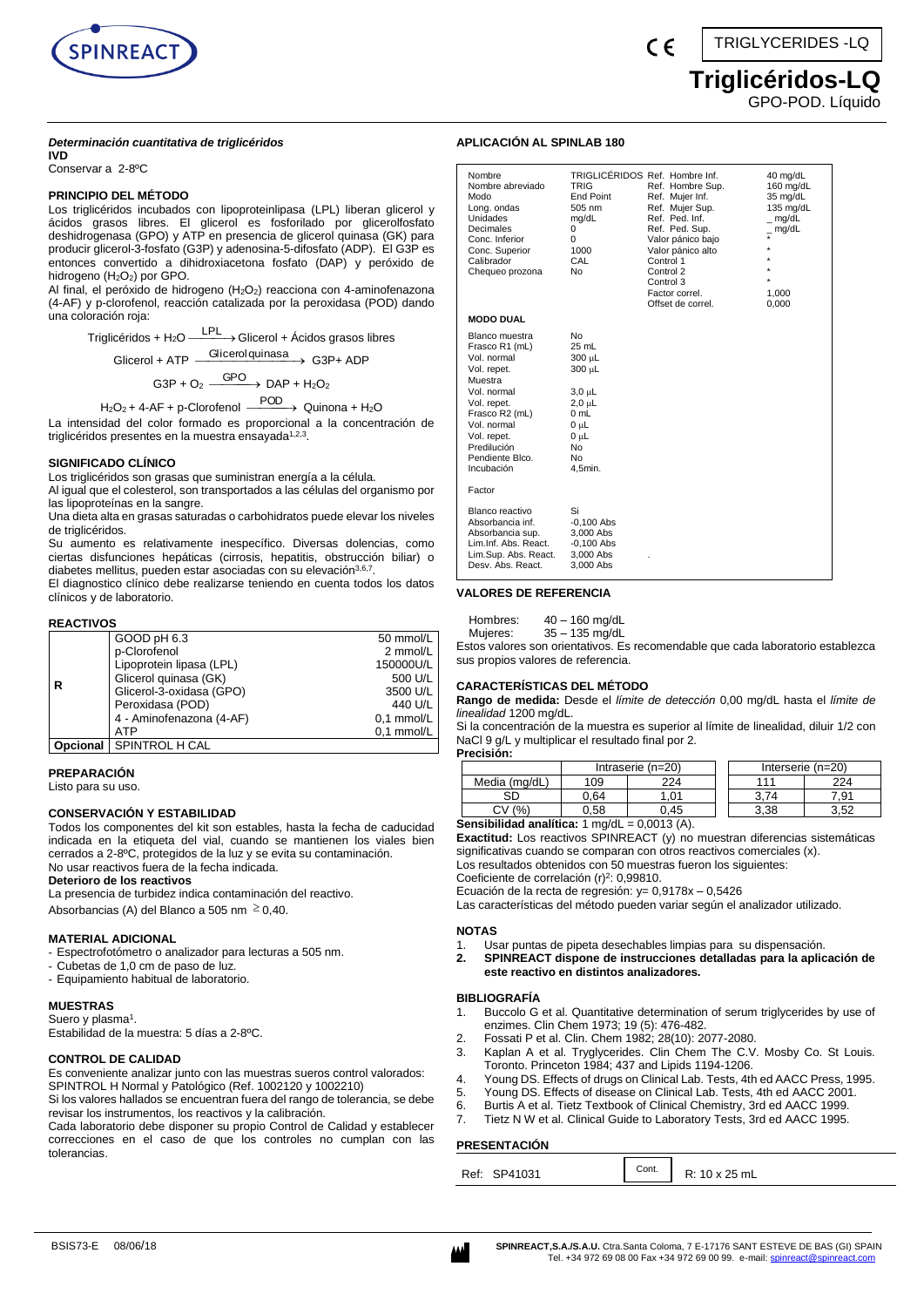

### *Determinación cuantitativa de triglicéridos*

**IVD**

Conservar a 2-8ºC

# **PRINCIPIO DEL MÉTODO**

Los triglicéridos incubados con lipoproteinlipasa (LPL) liberan glicerol y ácidos grasos libres. El glicerol es fosforilado por glicerolfosfato deshidrogenasa (GPO) y ATP en presencia de glicerol quinasa (GK) para producir glicerol-3-fosfato (G3P) y adenosina-5-difosfato (ADP). El G3P es entonces convertido a dihidroxiacetona fosfato (DAP) y peróxido de hidrogeno (H<sub>2</sub>O<sub>2</sub>) por GPO.

Al final, el peróxido de hidrogeno (H<sub>2</sub>O<sub>2</sub>) reacciona con 4-aminofenazona (4-AF) y p-clorofenol, reacción catalizada por la peroxidasa (POD) dando una coloración roja:

> Triglicéridos + H<sub>2</sub>O <sup>LPL</sup> → Glicerol + Ácidos grasos libres Glicerol + ATP Glicerolquinasa G3P+ ADP

> > $G3P + O_2 \xrightarrow{GPO} DAP + H_2O_2$

$$
H_2O_2 + 4\text{-AF} + p\text{-Clorofenol} \xrightarrow{\text{POD}} \text{Quinona} + H_2O
$$

La intensidad del color formado es proporcional a la concentración de triglicéridos presentes en la muestra ensayada<sup>1,2,3</sup>.

#### **SIGNIFICADO CLÍNICO**

Los triglicéridos son grasas que suministran energía a la célula.

Al igual que el colesterol, son transportados a las células del organismo por las lipoproteínas en la sangre.

Una dieta alta en grasas saturadas o carbohidratos puede elevar los niveles de triglicéridos.

Su aumento es relativamente inespecífico. Diversas dolencias, como ciertas disfunciones hepáticas (cirrosis, hepatitis, obstrucción biliar) o diabetes mellitus, pueden estar asociadas con su elevación<sup>3,6,7</sup>.

El diagnostico clínico debe realizarse teniendo en cuenta todos los datos clínicos y de laboratorio.

#### **REACTIVOS**

|          | GOOD pH 6.3              | 50 mmol/L    |
|----------|--------------------------|--------------|
| R        | p-Clorofenol             | 2 mmol/L     |
|          | Lipoprotein lipasa (LPL) | 150000U/L    |
|          | Glicerol quinasa (GK)    | 500 U/L      |
|          | Glicerol-3-oxidasa (GPO) | 3500 U/L     |
|          | Peroxidasa (POD)         | 440 U/L      |
|          | 4 - Aminofenazona (4-AF) | 0.1 mmol/L   |
|          | ATP                      | $0.1$ mmol/L |
| Opcional | SPINTROL H CAL           |              |

**PREPARACIÓN** 

Listo para su uso.

#### **CONSERVACIÓN Y ESTABILIDAD**

Todos los componentes del kit son estables, hasta la fecha de caducidad indicada en la etiqueta del vial, cuando se mantienen los viales bien cerrados a 2-8ºC, protegidos de la luz y se evita su contaminación. No usar reactivos fuera de la fecha indicada.

**Deterioro de los reactivos**

La presencia de turbidez indica contaminación del reactivo. Absorbancias (A) del Blanco a 505 nm  $\geq$  0,40.

#### **MATERIAL ADICIONAL**

- Espectrofotómetro o analizador para lecturas a 505 nm.
- Cubetas de 1,0 cm de paso de luz.
- Equipamiento habitual de laboratorio.

#### **MUESTRAS**

Suero y plasma<sup>1</sup>. Estabilidad de la muestra: 5 días a 2-8ºC.

#### **CONTROL DE CALIDAD** Es conveniente analizar junto con las muestras sueros control valorados:

SPINTROL H Normal y Patológico (Ref. 1002120 y 1002210) Si los valores hallados se encuentran fuera del rango de tolerancia, se debe

revisar los instrumentos, los reactivos y la calibración. Cada laboratorio debe disponer su propio Control de Calidad y establecer

correcciones en el caso de que los controles no cumplan con las tolerancias.

TRIGLYCERIDES -LQ  $\epsilon$ 

# **Triglicéridos-LQ**

GPO-POD. Líquido

#### **APLICACIÓN AL SPINLAB 180**

| Nombre<br>Nombre abreviado<br>Modo<br>Long. ondas<br>Unidades<br>Decimales<br>Conc. Inferior<br>Conc. Superior<br>Calibrador<br>Chequeo prozona                                                         | <b>TRIG</b><br><b>End Point</b><br>505 nm<br>mg/dL<br>0<br>$\Omega$<br>1000<br>CAL<br>No                          | TRIGLICÉRIDOS Ref. Hombre Inf.<br>Ref. Hombre Sup.<br>Ref. Mujer Inf.<br>Ref. Mujer Sup.<br>Ref. Ped. Inf.<br>Ref. Ped. Sup.<br>Valor pánico bajo<br>Valor pánico alto<br>Control 1<br>Control 2<br>Control 3<br>Factor correl.<br>Offset de correl. | 40 mg/dL<br>$160$ mg/dL<br>35 mg/dL<br>135 mg/dL<br>mg/dL<br>$\_$ mg/dL<br>$\star$<br>$\star$<br>$\star$<br>1.000<br>0,000 |
|---------------------------------------------------------------------------------------------------------------------------------------------------------------------------------------------------------|-------------------------------------------------------------------------------------------------------------------|------------------------------------------------------------------------------------------------------------------------------------------------------------------------------------------------------------------------------------------------------|----------------------------------------------------------------------------------------------------------------------------|
| <b>MODO DUAL</b>                                                                                                                                                                                        |                                                                                                                   |                                                                                                                                                                                                                                                      |                                                                                                                            |
| Blanco muestra<br>Frasco R1 (mL)<br>Vol. normal<br>Vol. repet.<br>Muestra<br>Vol. normal<br>Vol. repet.<br>Frasco R2 (mL)<br>Vol. normal<br>Vol. repet.<br>Predilución<br>Pendiente Blco.<br>Incubación | No<br>25 mL<br>300 µL<br>300 µL<br>3,0 µL<br>$2.0 \mu L$<br>$0 \text{ mL}$<br>0 սԼ<br>0 սԼ<br>No<br>No<br>4,5min. |                                                                                                                                                                                                                                                      |                                                                                                                            |
| Factor                                                                                                                                                                                                  |                                                                                                                   |                                                                                                                                                                                                                                                      |                                                                                                                            |
| Blanco reactivo<br>Absorbancia inf.<br>Absorbancia sup.<br>Lim.Inf. Abs. React.<br>Lim.Sup. Abs. React.<br>Desy, Abs. React.                                                                            | Si<br>$-0.100$ Abs<br>3.000 Abs<br>$-0.100$ Abs<br>3,000 Abs<br>3.000 Abs                                         |                                                                                                                                                                                                                                                      |                                                                                                                            |

#### **VALORES DE REFERENCIA**

Hombres: 40 – 160 mg/dL

Mujeres: 35 – 135 mg/dL

Estos valores son orientativos. Es recomendable que cada laboratorio establezca sus propios valores de referencia.

#### **CARACTERÍSTICAS DEL MÉTODO**

**Rango de medida:** Desde el *límite de detección* 0,00 mg/dL hasta el *límite de linealidad* 1200 mg/dL.

Si la concentración de la muestra es superior al límite de linealidad, diluir 1/2 con NaCl 9 g/L y multiplicar el resultado final por 2. **Precisión:**

| 1558911.      |                   |      |                   |      |
|---------------|-------------------|------|-------------------|------|
|               | Intraserie (n=20) |      | Interserie (n=20) |      |
| Media (mg/dL) | 109               | 224  | 111               | 224  |
| SC            | 0.64              | .01  |                   | .91  |
| (%`<br>Cν     | ).58              | ).45 | 3.38              | 3.52 |

**Sensibilidad analítica:** 1 mg/dL = 0,0013 (A).

**Exactitud:** Los reactivos SPINREACT (y) no muestran diferencias sistemáticas significativas cuando se comparan con otros reactivos comerciales (x). Los resultados obtenidos con 50 muestras fueron los siguientes:

Coeficiente de correlación  $(r)^2$ : 0,99810.

Ecuación de la recta de regresión: y= 0,9178x – 0,5426

Las características del método pueden variar según el analizador utilizado.

#### **NOTAS**

- 1. Usar puntas de pipeta desechables limpias para su dispensación.<br>2. SPINREACT dispone de instrucciones detalladas para la aplio
- **2. SPINREACT dispone de instrucciones detalladas para la aplicación de este reactivo en distintos analizadores.**

#### **BIBLIOGRAFÍA**

- 1. Buccolo G et al. Quantitative determination of serum triglycerides by use of enzimes. Clin Chem 1973; 19 (5): 476-482.
- 2. Fossati P et al. Clin. Chem 1982; 28(10): 2077-2080.
- 3. Kaplan A et al. Tryglycerides. Clin Chem The C.V. Mosby Co. St Louis. Toronto. Princeton 1984; 437 and Lipids 1194-1206.
- 4. Young DS. Effects of drugs on Clinical Lab. Tests, 4th ed AACC Press, 1995.
- 5. Young DS. Effects of disease on Clinical Lab. Tests, 4th ed AACC 2001.
- 6. Burtis A et al. Tietz Textbook of Clinical Chemistry, 3rd ed AACC 1999.
- 7. Tietz N W et al. Clinical Guide to Laboratory Tests, 3rd ed AACC 1995.

г

# **PRESENTACIÓN**

| Ref: SP41031 |  | $\begin{array}{ c c c c c } \hline \end{array}$ Cont. R: 10 x 25 mL |
|--------------|--|---------------------------------------------------------------------|
|--------------|--|---------------------------------------------------------------------|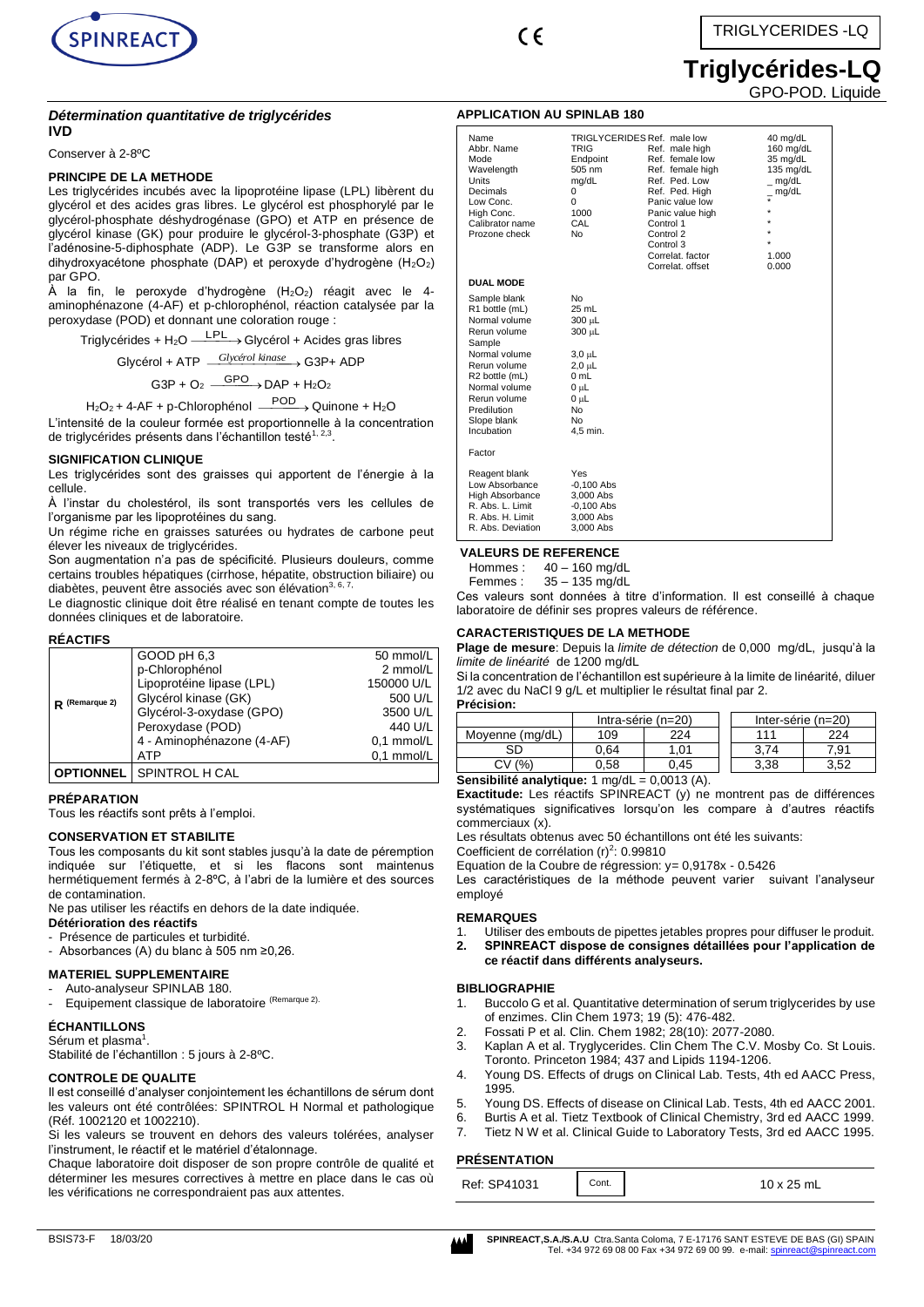

 $\epsilon$ 

# **Triglycérides-LQ** GPO-POD. Liquide

#### *Détermination quantitative de triglycérides* **IVD**

Conserver à 2-8ºC

# **PRINCIPE DE LA METHODE**

Les triglycérides incubés avec la lipoprotéine lipase (LPL) libèrent du glycérol et des acides gras libres. Le glycérol est phosphorylé par le glycérol-phosphate déshydrogénase (GPO) et ATP en présence de glycérol kinase (GK) pour produire le glycérol-3-phosphate (G3P) et l'adénosine-5-diphosphate (ADP). Le G3P se transforme alors en dihydroxyacétone phosphate (DAP) et peroxyde d'hydrogène (H<sub>2</sub>O<sub>2</sub>) par GPO.

 $\hat{A}$  la fin, le peroxyde d'hydrogène (H<sub>2</sub>O<sub>2</sub>) réagit avec le 4aminophénazone (4-AF) et p-chlorophénol, réaction catalysée par la peroxydase (POD) et donnant une coloration rouge :

Triglycérides + H<sub>2</sub>O <sup>\_\_\_\_\_\_</sup>\_\_→ Glycérol + Acides gras libres

Glycérol + ATP  $\frac{Glyc\acute{e}rol\; kinas\acute{e}}{}$  G3P+ ADP

 $G3P + O_2 \xrightarrow{GPO} DAP + H_2O_2$ 

$$
H_2O_2 + 4-AF + p-Chlorophénol \xrightarrow{POD} Quinone + H_2O
$$

L'intensité de la couleur formée est proportionnelle à la concentration de triglycérides présents dans l'échantillon testé<sup>1, 2,3</sup>.

### **SIGNIFICATION CLINIQUE**

Les triglycérides sont des graisses qui apportent de l'énergie à la cellule.

À l'instar du cholestérol, ils sont transportés vers les cellules de l'organisme par les lipoprotéines du sang.

Un régime riche en graisses saturées ou hydrates de carbone peut élever les niveaux de triglycérides.

Son augmentation n'a pas de spécificité. Plusieurs douleurs, comme certains troubles hépatiques (cirrhose, hépatite, obstruction biliaire) ou diabètes, peuvent être associés avec son élévation<sup>3, 6, 7</sup>

Le diagnostic clinique doit être réalisé en tenant compte de toutes les données cliniques et de laboratoire.

#### **RÉACTIFS**

|                  | GOOD pH 6,3               | 50 mmol/L    |
|------------------|---------------------------|--------------|
|                  | p-Chlorophénol            | 2 mmol/L     |
|                  | Lipoprotéine lipase (LPL) | 150000 U/L   |
| $R$ (Remarque 2) | Glycérol kinase (GK)      | 500 U/L      |
|                  | Glycérol-3-oxydase (GPO)  | 3500 U/L     |
|                  | Peroxydase (POD)          | 440 U/L      |
|                  | 4 - Aminophénazone (4-AF) | $0.1$ mmol/L |
|                  | <b>ATP</b>                | $0.1$ mmol/L |
|                  | SPINTROL H CAL            |              |

### **PRÉPARATION**

Tous les réactifs sont prêts à l'emploi.

### **CONSERVATION ET STABILITE**

Tous les composants du kit sont stables jusqu'à la date de péremption indiquée sur l'étiquette, et si les flacons sont maintenus hermétiquement fermés à 2-8ºC, à l'abri de la lumière et des sources de contamination.

Ne pas utiliser les réactifs en dehors de la date indiquée.

# **Détérioration des réactifs**

- Présence de particules et turbidité.
- Absorbances (A) du blanc à 505 nm ≥0,26.

### **MATERIEL SUPPLEMENTAIRE**

- Auto-analyseur SPINLAB 180.
- Equipement classique de laboratoire (Remarque 2).

### **ÉCHANTILLONS**

Sérum et plasma<sup>1</sup>.

Stabilité de l'échantillon : 5 jours à 2-8ºC.

### **CONTROLE DE QUALITE**

Il est conseillé d'analyser conjointement les échantillons de sérum dont les valeurs ont été contrôlées: SPINTROL H Normal et pathologique (Réf. 1002120 et 1002210).

Si les valeurs se trouvent en dehors des valeurs tolérées, analyser l'instrument, le réactif et le matériel d'étalonnage.

Chaque laboratoire doit disposer de son propre contrôle de qualité et déterminer les mesures correctives à mettre en place dans le cas où les vérifications ne correspondraient pas aux attentes.

### **APPLICATION AU SPINLAB 180**

| Name<br>Abbr. Name<br>Mode<br>Wavelength<br>Units<br>Decimals<br>Low Conc.<br>High Conc.<br>Calibrator name<br>Prozone check                                                                              | TRIGLYCERIDES Ref. male low<br><b>TRIG</b><br>Endpoint<br>505 nm<br>mg/dL<br>0<br>0<br>1000<br>CAL<br>No           | Ref. male high<br>Ref. female low<br>Ref. female high<br>Ref. Ped. Low<br>Ref. Ped. High<br>Panic value low<br>Panic value high<br>Control 1<br>Control 2<br>Control 3<br>Correlat, factor<br>Correlat, offset | 40 mg/dL<br>160 mg/dL<br>35 mg/dL<br>135 mg/dL<br>_ mg/dL<br>_ mg/dL<br>÷<br>÷<br>÷<br>÷<br>1.000<br>0.000 |
|-----------------------------------------------------------------------------------------------------------------------------------------------------------------------------------------------------------|--------------------------------------------------------------------------------------------------------------------|----------------------------------------------------------------------------------------------------------------------------------------------------------------------------------------------------------------|------------------------------------------------------------------------------------------------------------|
| <b>DUAL MODE</b>                                                                                                                                                                                          |                                                                                                                    |                                                                                                                                                                                                                |                                                                                                            |
| Sample blank<br>R1 bottle (mL)<br>Normal volume<br>Rerun volume<br>Sample<br>Normal volume<br>Rerun volume<br>R2 bottle (mL)<br>Normal volume<br>Rerun volume<br>Predilution<br>Slope blank<br>Incubation | No<br>25 mL<br>300 µL<br>300 µL<br>$3,0 \mu L$<br>2,0 µL<br>$0 \text{ mL}$<br>0 սԼ<br>0 սԼ<br>No<br>No<br>4,5 min. |                                                                                                                                                                                                                |                                                                                                            |
| Factor                                                                                                                                                                                                    |                                                                                                                    |                                                                                                                                                                                                                |                                                                                                            |
| Reagent blank<br>Low Absorbance<br>High Absorbance<br>R. Abs. L. Limit<br>R. Abs. H. Limit<br>R. Abs. Deviation                                                                                           | Yes<br>$-0,100$ Abs<br>3.000 Abs<br>$-0,100$ Abs<br>3,000 Abs<br>3,000 Abs                                         |                                                                                                                                                                                                                |                                                                                                            |

# **VALEURS DE REFERENCE**<br>Hommes : 40 - 160 ma/c

 $40 - 160$  mg/dL

Femmes : 35 – 135 mg/dL

Ces valeurs sont données à titre d'information. Il est conseillé à chaque laboratoire de définir ses propres valeurs de référence.

#### **CARACTERISTIQUES DE LA METHODE**

**Plage de mesure**: Depuis la *limite de détection* de 0,000 mg/dL, jusqu'à la *limite de linéarité* de 1200 mg/dL

Si la concentration de l'échantillon est supérieure à la limite de linéarité, diluer 1/2 avec du NaCl 9 g/L et multiplier le résultat final par 2. **Précision:**

| г гостэгчт.     |      |                      |                      |      |  |
|-----------------|------|----------------------|----------------------|------|--|
|                 |      | Intra-série $(n=20)$ | Inter-série $(n=20)$ |      |  |
| Moyenne (mg/dL) | 109  | 224                  | 111                  | 224  |  |
| SD              | 0.64 | 1.01                 | 3.74                 | 7.91 |  |
| CV (%)          | 0,58 | 0.45                 | 3,38                 | 3.52 |  |

**Sensibilité analytique:** 1 mg/dL = 0,0013 (A).

**Exactitude:** Les réactifs SPINREACT (y) ne montrent pas de différences systématiques significatives lorsqu'on les compare à d'autres réactifs commerciaux (x).

Les résultats obtenus avec 50 échantillons ont été les suivants:

Coefficient de corrélation  $(r)^2$ : 0.99810

Equation de la Coubre de régression: y= 0,9178x - 0.5426

Les caractéristiques de la méthode peuvent varier suivant l'analyseur employé

### **REMARQUES**

- 1. Utiliser des embouts de pipettes jetables propres pour diffuser le produit.
- **2. SPINREACT dispose de consignes détaillées pour l'application de ce réactif dans différents analyseurs.**

### **BIBLIOGRAPHIE**

- 1. Buccolo G et al. Quantitative determination of serum triglycerides by use of enzimes. Clin Chem 1973; 19 (5): 476-482.
- 2. Fossati P et al. Clin. Chem 1982; 28(10): 2077-2080.
- 3. Kaplan A et al. Tryglycerides. Clin Chem The C.V. Mosby Co. St Louis.
- Toronto. Princeton 1984; 437 and Lipids 1194-1206. 4. Young DS. Effects of drugs on Clinical Lab. Tests, 4th ed AACC Press,
- 1995.
- 5. Young DS. Effects of disease on Clinical Lab. Tests, 4th ed AACC 2001.
- 6. Burtis A et al. Tietz Textbook of Clinical Chemistry, 3rd ed AACC 1999. 7. Tietz N W et al. Clinical Guide to Laboratory Tests, 3rd ed AACC 1995.
	-

# **PRÉSENTATION**

| Ref: SP41031 | Cont. | $10 \times 25$ mL |
|--------------|-------|-------------------|
|--------------|-------|-------------------|